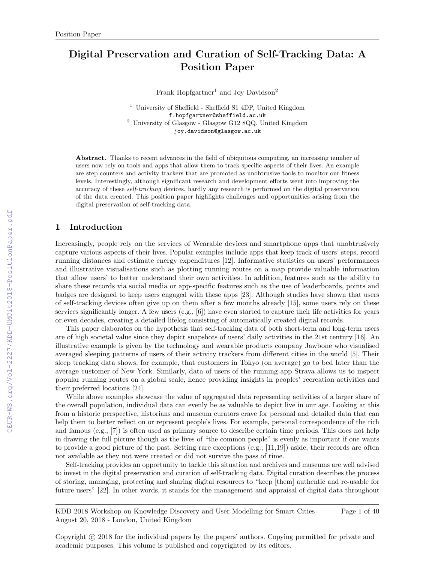# Digital Preservation and Curation of Self-Tracking Data: A Position Paper

Frank Hopfgartner<sup>1</sup> and Joy Davidson<sup>2</sup>

<sup>1</sup> University of Sheffield - Sheffield S1 4DP, United Kingdom f.hopfgartner@sheffield.ac.uk  $^2$  University of Glasgow - Glasgow G12 8QQ, United Kingdom joy.davidson@glasgow.ac.uk

Abstract. Thanks to recent advances in the field of ubiquitous computing, an increasing number of users now rely on tools and apps that allow them to track specific aspects of their lives. An example are step counters and activity trackers that are promoted as unobtrusive tools to monitor our fitness levels. Interestingly, although significant research and development efforts went into improving the accuracy of these self-tracking devices, hardly any research is performed on the digital preservation of the data created. This position paper highlights challenges and opportunities arising from the digital preservation of self-tracking data.

### 1 Introduction

Increasingly, people rely on the services of Wearable devices and smartphone apps that unobtrusively capture various aspects of their lives. Popular examples include apps that keep track of users' steps, record running distances and estimate energy expenditures [12]. Informative statistics on users' performances and illustrative visualisations such as plotting running routes on a map provide valuable information that allow users' to better understand their own activities. In addition, features such as the ability to share these records via social media or app-specific features such as the use of leaderboards, points and badges are designed to keep users engaged with these apps [23]. Although studies have shown that users of self-tracking devices often give up on them after a few months already [15], some users rely on these services significantly longer. A few users (e.g., [6]) have even started to capture their life activities for years or even decades, creating a detailed lifelog consisting of automatically created digital records.

This paper elaborates on the hypothesis that self-tracking data of both short-term and long-term users are of high societal value since they depict snapshots of users' daily activities in the 21st century [16]. An illustrative example is given by the technology and wearable products company Jawbone who visualised averaged sleeping patterns of users of their activity trackers from different cities in the world [5]. Their sleep tracking data shows, for example, that customers in Tokyo (on average) go to bed later than the average customer of New York. Similarly, data of users of the running app Strava allows us to inspect popular running routes on a global scale, hence providing insights in peoples' recreation activities and their preferred locations [24].

While above examples showcase the value of aggregated data representing activities of a larger share of the overall population, individual data can evenly be as valuable to depict live in our age. Looking at this from a historic perspective, historians and museum curators crave for personal and detailed data that can help them to better reflect on or represent people's lives. For example, personal correspondence of the rich and famous (e.g., [7]) is often used as primary source to describe certain time periods. This does not help in drawing the full picture though as the lives of "the common people" is evenly as important if one wants to provide a good picture of the past. Setting rare exceptions (e.g., [11,19]) aside, their records are often not available as they not were created or did not survive the pass of time.

Self-tracking provides an opportunity to tackle this situation and archives and museums are well advised to invest in the digital preservation and curation of self-tracking data. Digital curation describes the process of storing, managing, protecting and sharing digital resources to "keep [them] authentic and re-usable for future users" [22]. In other words, it stands for the management and appraisal of digital data throughout

KDD 2018 Workshop on Knowledge Discovery and User Modelling for Smart Cities August 20, 2018 - London, United Kingdom Page 1 of 40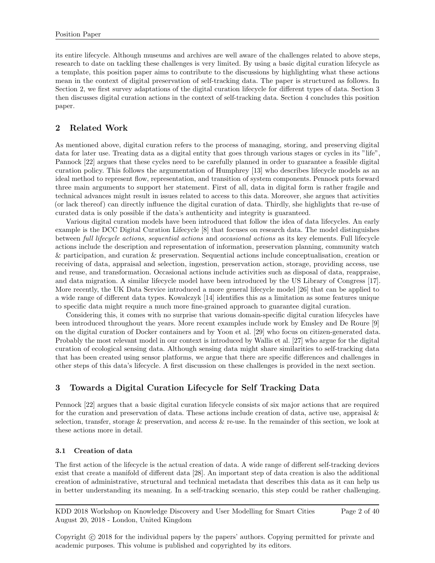its entire lifecycle. Although museums and archives are well aware of the challenges related to above steps, research to date on tackling these challenges is very limited. By using a basic digital curation lifecycle as a template, this position paper aims to contribute to the discussions by highlighting what these actions mean in the context of digital preservation of self-tracking data. The paper is structured as follows. In Section 2, we first survey adaptations of the digital curation lifecycle for different types of data. Section 3 then discusses digital curation actions in the context of self-tracking data. Section 4 concludes this position paper.

## 2 Related Work

As mentioned above, digital curation refers to the process of managing, storing, and preserving digital data for later use. Treating data as a digital entity that goes through various stages or cycles in its "life", Pannock [22] argues that these cycles need to be carefully planned in order to guarantee a feasible digital curation policy. This follows the argumentation of Humphrey [13] who describes lifecycle models as an ideal method to represent flow, representation, and transition of system components. Pennock puts forward three main arguments to support her statement. First of all, data in digital form is rather fragile and technical advances might result in issues related to access to this data. Moreover, she argues that activities (or lack thereof) can directly influence the digital curation of data. Thirdly, she highlights that re-use of curated data is only possible if the data's authenticity and integrity is guaranteed.

Various digital curation models have been introduced that follow the idea of data lifecycles. An early example is the DCC Digital Curation Lifecycle [8] that focuses on research data. The model distinguishes between full lifecycle actions, sequential actions and occasional actions as its key elements. Full lifecycle actions include the description and representation of information, preservation planning, community watch & participation, and curation & preservation. Sequential actions include conceptualisation, creation or receiving of data, appraisal and selection, ingestion, preservation action, storage, providing access, use and reuse, and transformation. Occasional actions include activities such as disposal of data, reappraise, and data migration. A similar lifecycle model have been introduced by the US Library of Congress [17]. More recently, the UK Data Service introduced a more general lifecycle model [26] that can be applied to a wide range of different data types. Kowalczyk [14] identifies this as a limitation as some features unique to specific data might require a much more fine-grained approach to guarantee digital curation.

Considering this, it comes with no surprise that various domain-specific digital curation lifecycles have been introduced throughout the years. More recent examples include work by Emsley and De Roure [9] on the digital curation of Docker containers and by Yoon et al. [29] who focus on citizen-generated data. Probably the most relevant model in our context is introduced by Wallis et al. [27] who argue for the digital curation of ecological sensing data. Although sensing data might share similarities to self-tracking data that has been created using sensor platforms, we argue that there are specific differences and challenges in other steps of this data's lifecycle. A first discussion on these challenges is provided in the next section.

# 3 Towards a Digital Curation Lifecycle for Self Tracking Data

Pennock [22] argues that a basic digital curation lifecycle consists of six major actions that are required for the curation and preservation of data. These actions include creation of data, active use, appraisal  $\&$ selection, transfer, storage & preservation, and access & re-use. In the remainder of this section, we look at these actions more in detail.

#### 3.1 Creation of data

The first action of the lifecycle is the actual creation of data. A wide range of different self-tracking devices exist that create a manifold of different data [28]. An important step of data creation is also the additional creation of administrative, structural and technical metadata that describes this data as it can help us in better understanding its meaning. In a self-tracking scenario, this step could be rather challenging.

KDD 2018 Workshop on Knowledge Discovery and User Modelling for Smart Cities August 20, 2018 - London, United Kingdom Page 2 of 40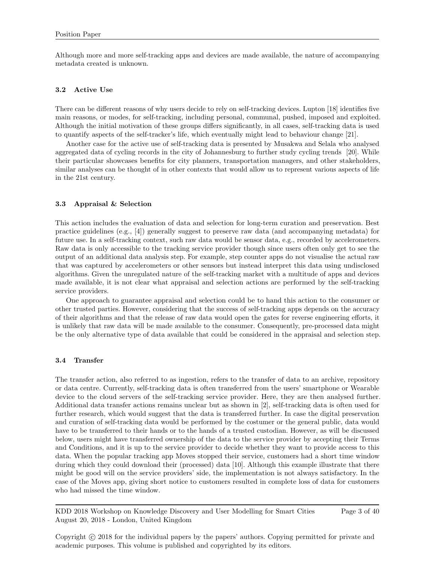Although more and more self-tracking apps and devices are made available, the nature of accompanying metadata created is unknown.

#### 3.2 Active Use

There can be different reasons of why users decide to rely on self-tracking devices. Lupton [18] identifies five main reasons, or modes, for self-tracking, including personal, communal, pushed, imposed and exploited. Although the initial motivation of these groups differs significantly, in all cases, self-tracking data is used to quantify aspects of the self-tracker's life, which eventually might lead to behaviour change [21].

Another case for the active use of self-tracking data is presented by Musakwa and Selala who analysed aggregated data of cycling records in the city of Johannesburg to further study cycling trends [20]. While their particular showcases benefits for city planners, transportation managers, and other stakeholders, similar analyses can be thought of in other contexts that would allow us to represent various aspects of life in the 21st century.

#### 3.3 Appraisal & Selection

This action includes the evaluation of data and selection for long-term curation and preservation. Best practice guidelines (e.g., [4]) generally suggest to preserve raw data (and accompanying metadata) for future use. In a self-tracking context, such raw data would be sensor data, e.g., recorded by accelerometers. Raw data is only accessible to the tracking service provider though since users often only get to see the output of an additional data analysis step. For example, step counter apps do not visualise the actual raw that was captured by accelerometers or other sensors but instead interpret this data using undisclosed algorithms. Given the unregulated nature of the self-tracking market with a multitude of apps and devices made available, it is not clear what appraisal and selection actions are performed by the self-tracking service providers.

One approach to guarantee appraisal and selection could be to hand this action to the consumer or other trusted parties. However, considering that the success of self-tracking apps depends on the accuracy of their algorithms and that the release of raw data would open the gates for reverse engineering efforts, it is unlikely that raw data will be made available to the consumer. Consequently, pre-processed data might be the only alternative type of data available that could be considered in the appraisal and selection step.

#### 3.4 Transfer

The transfer action, also referred to as ingestion, refers to the transfer of data to an archive, repository or data centre. Currently, self-tracking data is often transferred from the users' smartphone or Wearable device to the cloud servers of the self-tracking service provider. Here, they are then analysed further. Additional data transfer actions remains unclear but as shown in [2], self-tracking data is often used for further research, which would suggest that the data is transferred further. In case the digital preservation and curation of self-tracking data would be performed by the costumer or the general public, data would have to be transferred to their hands or to the hands of a trusted custodian. However, as will be discussed below, users might have transferred ownership of the data to the service provider by accepting their Terms and Conditions, and it is up to the service provider to decide whether they want to provide access to this data. When the popular tracking app Moves stopped their service, customers had a short time window during which they could download their (processed) data [10]. Although this example illustrate that there might be good will on the service providers' side, the implementation is not always satisfactory. In the case of the Moves app, giving short notice to customers resulted in complete loss of data for customers who had missed the time window.

KDD 2018 Workshop on Knowledge Discovery and User Modelling for Smart Cities August 20, 2018 - London, United Kingdom

Page 3 of 40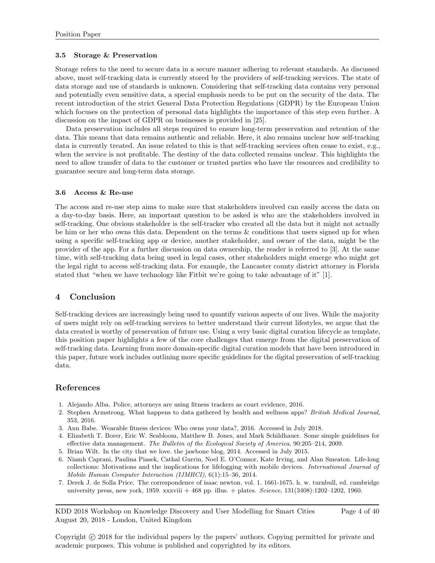#### 3.5 Storage & Preservation

Storage refers to the need to secure data in a secure manner adhering to relevant standards. As discussed above, most self-tracking data is currently stored by the providers of self-tracking services. The state of data storage and use of standards is unknown. Considering that self-tracking data contains very personal and potentially even sensitive data, a special emphasis needs to be put on the security of the data. The recent introduction of the strict General Data Protection Regulations (GDPR) by the European Union which focuses on the protection of personal data highlights the importance of this step even further. A discussion on the impact of GDPR on businesses is provided in [25].

Data preservation includes all steps required to ensure long-term preservation and retention of the data. This means that data remains authentic and reliable. Here, it also remains unclear how self-tracking data is currently treated. An issue related to this is that self-tracking services often cease to exist, e.g., when the service is not profitable. The destiny of the data collected remains unclear. This highlights the need to allow transfer of data to the customer or trusted parties who have the resources and credibility to guarantee secure and long-term data storage.

#### 3.6 Access & Re-use

The access and re-use step aims to make sure that stakeholders involved can easily access the data on a day-to-day basis. Here, an important question to be asked is who are the stakeholders involved in self-tracking. One obvious stakeholder is the self-tracker who created all the data but it might not actually be him or her who owns this data. Dependent on the terms & conditions that users signed up for when using a specific self-tracking app or device, another stakeholder, and owner of the data, might be the provider of the app. For a further discussion on data ownership, the reader is referred to [3]. At the same time, with self-tracking data being used in legal cases, other stakeholders might emerge who might get the legal right to access self-tracking data. For example, the Lancaster county district attorney in Florida stated that "when we have technology like Fitbit we're going to take advantage of it" [1].

# 4 Conclusion

Self-tracking devices are increasingly being used to quantify various aspects of our lives. While the majority of users might rely on self-tracking services to better understand their current lifestyles, we argue that the data created is worthy of preservation of future use. Using a very basic digital curation lifecycle as template, this position paper highlights a few of the core challenges that emerge from the digital preservation of self-tracking data. Learning from more domain-specific digital curation models that have been introduced in this paper, future work includes outlining more specific guidelines for the digital preservation of self-tracking data.

# References

- 1. Alejando Alba. Police, attorneys are using fitness trackers as court evidence, 2016.
- 2. Stephen Armstrong. What happens to data gathered by health and wellness apps? British Medical Journal, 353, 2016.
- 3. Ann Babe. Wearable fitness devices: Who owns your data?, 2016. Accessed in July 2018.
- 4. Elizabeth T. Borer, Eric W. Seabloom, Matthew B. Jones, and Mark Schildhauer. Some simple guidelines for effective data management. The Bulletin of the Ecological Society of America, 90:205–214, 2009.
- 5. Brian Wilt. In the city that we love. the jawbone blog, 2014. Accessed in July 2015.
- 6. Niamh Caprani, Paulina Piasek, Cathal Gurrin, Noel E. O'Connor, Kate Irving, and Alan Smeaton. Life-long collections: Motivations and the implications for lifelogging with mobile devices. International Journal of Mobile Human Computer Interaction (IJMHCI), 6(1):15–36, 2014.
- 7. Derek J. de Solla Price. The correspondence of isaac newton. vol. 1. 1661-1675. h. w. turnbull, ed. cambridge university press, new york, 1959. xxxviii + 468 pp. illus. + plates. Science, 131(3408):1202–1202, 1960.

KDD 2018 Workshop on Knowledge Discovery and User Modelling for Smart Cities August 20, 2018 - London, United Kingdom Page 4 of 40